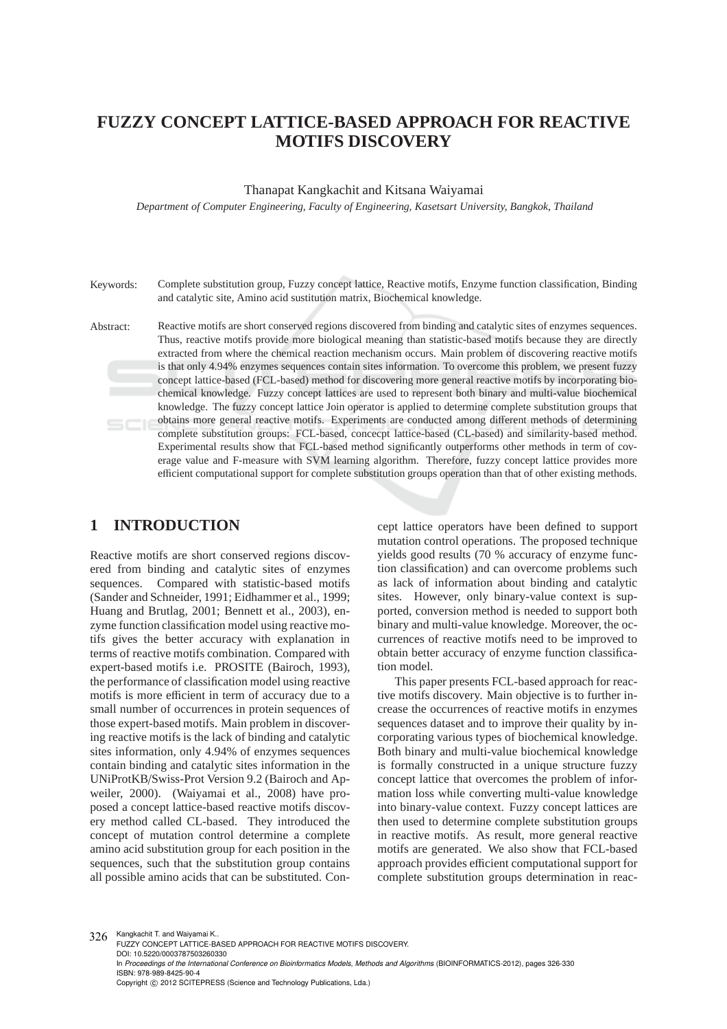# **FUZZY CONCEPT LATTICE-BASED APPROACH FOR REACTIVE MOTIFS DISCOVERY**

#### Thanapat Kangkachit and Kitsana Waiyamai

*Department of Computer Engineering, Faculty of Engineering, Kasetsart University, Bangkok, Thailand*

Keywords: Complete substitution group, Fuzzy concept lattice, Reactive motifs, Enzyme function classification, Binding and catalytic site, Amino acid sustitution matrix, Biochemical knowledge.

Abstract: Reactive motifs are short conserved regions discovered from binding and catalytic sites of enzymes sequences. Thus, reactive motifs provide more biological meaning than statistic-based motifs because they are directly extracted from where the chemical reaction mechanism occurs. Main problem of discovering reactive motifs is that only 4.94% enzymes sequences contain sites information. To overcome this problem, we present fuzzy concept lattice-based (FCL-based) method for discovering more general reactive motifs by incorporating biochemical knowledge. Fuzzy concept lattices are used to represent both binary and multi-value biochemical knowledge. The fuzzy concept lattice Join operator is applied to determine complete substitution groups that obtains more general reactive motifs. Experiments are conducted among different methods of determining complete substitution groups: FCL-based, concecpt lattice-based (CL-based) and similarity-based method. Experimental results show that FCL-based method significantly outperforms other methods in term of coverage value and F-measure with SVM learning algorithm. Therefore, fuzzy concept lattice provides more efficient computational support for complete substitution groups operation than that of other existing methods.

#### **1 INTRODUCTION**

Reactive motifs are short conserved regions discovered from binding and catalytic sites of enzymes sequences. Compared with statistic-based motifs (Sander and Schneider, 1991; Eidhammer et al., 1999; Huang and Brutlag, 2001; Bennett et al., 2003), enzyme function classification model using reactive motifs gives the better accuracy with explanation in terms of reactive motifs combination. Compared with expert-based motifs i.e. PROSITE (Bairoch, 1993), the performance of classification model using reactive motifs is more efficient in term of accuracy due to a small number of occurrences in protein sequences of those expert-based motifs. Main problem in discovering reactive motifs is the lack of binding and catalytic sites information, only 4.94% of enzymes sequences contain binding and catalytic sites information in the UNiProtKB/Swiss-Prot Version 9.2 (Bairoch and Apweiler, 2000). (Waiyamai et al., 2008) have proposed a concept lattice-based reactive motifs discovery method called CL-based. They introduced the concept of mutation control determine a complete amino acid substitution group for each position in the sequences, such that the substitution group contains all possible amino acids that can be substituted. Con-

cept lattice operators have been defined to support mutation control operations. The proposed technique yields good results (70 % accuracy of enzyme function classification) and can overcome problems such as lack of information about binding and catalytic sites. However, only binary-value context is supported, conversion method is needed to support both binary and multi-value knowledge. Moreover, the occurrences of reactive motifs need to be improved to obtain better accuracy of enzyme function classification model.

This paper presents FCL-based approach for reactive motifs discovery. Main objective is to further increase the occurrences of reactive motifs in enzymes sequences dataset and to improve their quality by incorporating various types of biochemical knowledge. Both binary and multi-value biochemical knowledge is formally constructed in a unique structure fuzzy concept lattice that overcomes the problem of information loss while converting multi-value knowledge into binary-value context. Fuzzy concept lattices are then used to determine complete substitution groups in reactive motifs. As result, more general reactive motifs are generated. We also show that FCL-based approach provides efficient computational support for complete substitution groups determination in reac-

326 Kangkachit T. and Waiyamai K. FUZZY CONCEPT LATTICE-BASED APPROACH FOR REACTIVE MOTIFS DISCOVERY. DOI: 10.5220/0003787503260330 In Proceedings of the International Conference on Bioinformatics Models, Methods and Algorithms (BIOINFORMATICS-2012), pages 326-330 ISBN: 978-989-8425-90-4 Copyright © 2012 SCITEPRESS (Science and Technology Publications, Lda.)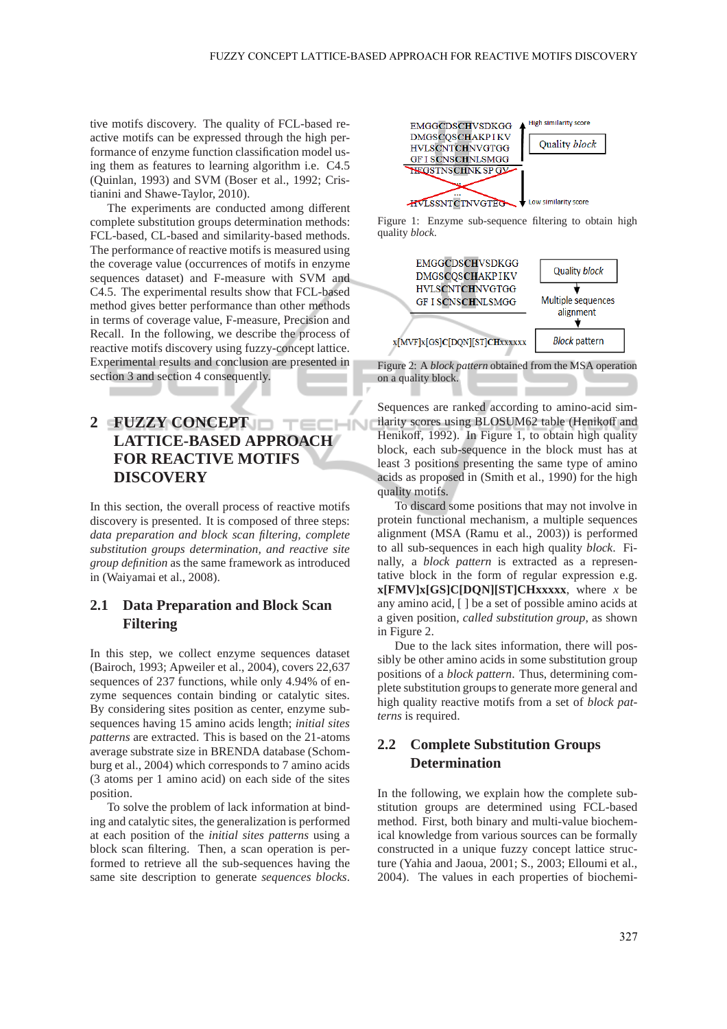tive motifs discovery. The quality of FCL-based reactive motifs can be expressed through the high performance of enzyme function classification model using them as features to learning algorithm i.e. C4.5 (Quinlan, 1993) and SVM (Boser et al., 1992; Cristianini and Shawe-Taylor, 2010).

The experiments are conducted among different complete substitution groups determination methods: FCL-based, CL-based and similarity-based methods. The performance of reactive motifs is measured using the coverage value (occurrences of motifs in enzyme sequences dataset) and F-measure with SVM and C4.5. The experimental results show that FCL-based method gives better performance than other methods in terms of coverage value, F-measure, Precision and Recall. In the following, we describe the process of reactive motifs discovery using fuzzy-concept lattice. Experimental results and conclusion are presented in section 3 and section 4 consequently.

## **2 FUZZY CONCEPT LATTICE-BASED APPROACH FOR REACTIVE MOTIFS DISCOVERY**

In this section, the overall process of reactive motifs discovery is presented. It is composed of three steps: *data preparation and block scan filtering, complete substitution groups determination, and reactive site group definition* as the same framework as introduced in (Waiyamai et al., 2008).

#### **2.1 Data Preparation and Block Scan Filtering**

In this step, we collect enzyme sequences dataset (Bairoch, 1993; Apweiler et al., 2004), covers 22,637 sequences of 237 functions, while only 4.94% of enzyme sequences contain binding or catalytic sites. By considering sites position as center, enzyme subsequences having 15 amino acids length; *initial sites patterns* are extracted. This is based on the 21-atoms average substrate size in BRENDA database (Schomburg et al., 2004) which corresponds to 7 amino acids (3 atoms per 1 amino acid) on each side of the sites position.

To solve the problem of lack information at binding and catalytic sites, the generalization is performed at each position of the *initial sites patterns* using a block scan filtering. Then, a scan operation is performed to retrieve all the sub-sequences having the same site description to generate *sequences blocks*.



Figure 1: Enzyme sub-sequence filtering to obtain high quality *block*.



Sequences are ranked according to amino-acid similarity scores using BLOSUM62 table (Henikoff and Henikoff, 1992). In Figure 1, to obtain high quality block, each sub-sequence in the block must has at least 3 positions presenting the same type of amino acids as proposed in (Smith et al., 1990) for the high quality motifs.

To discard some positions that may not involve in protein functional mechanism, a multiple sequences alignment (MSA (Ramu et al., 2003)) is performed to all sub-sequences in each high quality *block*. Finally, a *block pattern* is extracted as a representative block in the form of regular expression e.g. **x[FMV]x[GS]C[DQN][ST]CHxxxxx**, where *x* be any amino acid, [ ] be a set of possible amino acids at a given position, *called substitution group*, as shown in Figure 2.

Due to the lack sites information, there will possibly be other amino acids in some substitution group positions of a *block pattern*. Thus, determining complete substitution groups to generate more general and high quality reactive motifs from a set of *block patterns* is required.

## **2.2 Complete Substitution Groups Determination**

In the following, we explain how the complete substitution groups are determined using FCL-based method. First, both binary and multi-value biochemical knowledge from various sources can be formally constructed in a unique fuzzy concept lattice structure (Yahia and Jaoua, 2001; S., 2003; Elloumi et al., 2004). The values in each properties of biochemi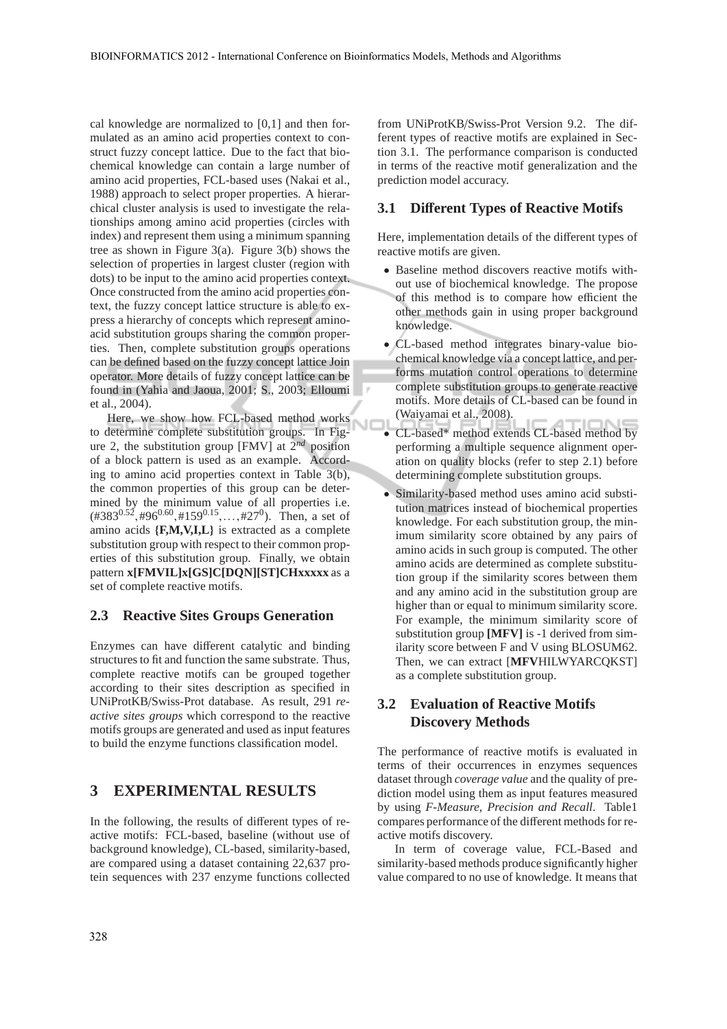ŃĽ

cal knowledge are normalized to [0,1] and then formulated as an amino acid properties context to construct fuzzy concept lattice. Due to the fact that biochemical knowledge can contain a large number of amino acid properties, FCL-based uses (Nakai et al., 1988) approach to select proper properties. A hierarchical cluster analysis is used to investigate the relationships among amino acid properties (circles with index) and represent them using a minimum spanning tree as shown in Figure 3(a). Figure 3(b) shows the selection of properties in largest cluster (region with dots) to be input to the amino acid properties context. Once constructed from the amino acid properties context, the fuzzy concept lattice structure is able to express a hierarchy of concepts which represent aminoacid substitution groups sharing the common properties. Then, complete substitution groups operations can be defined based on the fuzzy concept lattice Join operator. More details of fuzzy concept lattice can be found in (Yahia and Jaoua, 2001; S., 2003; Elloumi et al., 2004).

Here, we show how FCL-based method works to determine complete substitution groups. In Figure 2, the substitution group [FMV] at 2*nd* position of a block pattern is used as an example. According to amino acid properties context in Table 3(b), the common properties of this group can be determined by the minimum value of all properties i.e.  $(*383^{0.52}, *96^{0.60}, *159^{0.15}, ..., *27^0)$ . Then, a set of amino acids {**F,M,V,I,L**} is extracted as a complete substitution group with respect to their common properties of this substitution group. Finally, we obtain pattern **x[FMVIL]x[GS]C[DQN][ST]CHxxxxx** as a set of complete reactive motifs.

#### **2.3 Reactive Sites Groups Generation**

Enzymes can have different catalytic and binding structures to fit and function the same substrate. Thus, complete reactive motifs can be grouped together according to their sites description as specified in UNiProtKB/Swiss-Prot database. As result, 291 *reactive sites groups* which correspond to the reactive motifs groups are generated and used as input features to build the enzyme functions classification model.

### **3 EXPERIMENTAL RESULTS**

In the following, the results of different types of reactive motifs: FCL-based, baseline (without use of background knowledge), CL-based, similarity-based, are compared using a dataset containing 22,637 protein sequences with 237 enzyme functions collected

from UNiProtKB/Swiss-Prot Version 9.2. The different types of reactive motifs are explained in Section 3.1. The performance comparison is conducted in terms of the reactive motif generalization and the prediction model accuracy.

#### **3.1 Di**ff**erent Types of Reactive Motifs**

Here, implementation details of the different types of reactive motifs are given.

- Baseline method discovers reactive motifs without use of biochemical knowledge. The propose of this method is to compare how efficient the other methods gain in using proper background knowledge.
- CL-based method integrates binary-value biochemical knowledge via a concept lattice, and performs mutation control operations to determine complete substitution groups to generate reactive motifs. More details of CL-based can be found in (Waiyamai et al., 2008).
- CL-based\* method extends CL-based method by performing a multiple sequence alignment operation on quality blocks (refer to step 2.1) before determining complete substitution groups.
- Similarity-based method uses amino acid substitution matrices instead of biochemical properties knowledge. For each substitution group, the minimum similarity score obtained by any pairs of amino acids in such group is computed. The other amino acids are determined as complete substitution group if the similarity scores between them and any amino acid in the substitution group are higher than or equal to minimum similarity score. For example, the minimum similarity score of substitution group **[MFV]** is -1 derived from similarity score between F and V using BLOSUM62. Then, we can extract [**MFV**HILWYARCQKST] as a complete substitution group.

## **3.2 Evaluation of Reactive Motifs Discovery Methods**

The performance of reactive motifs is evaluated in terms of their occurrences in enzymes sequences dataset through *coverage value* and the quality of prediction model using them as input features measured by using *F-Measure, Precision and Recall*. Table1 compares performance of the different methods for reactive motifs discovery.

In term of coverage value, FCL-Based and similarity-based methods produce significantly higher value compared to no use of knowledge. It means that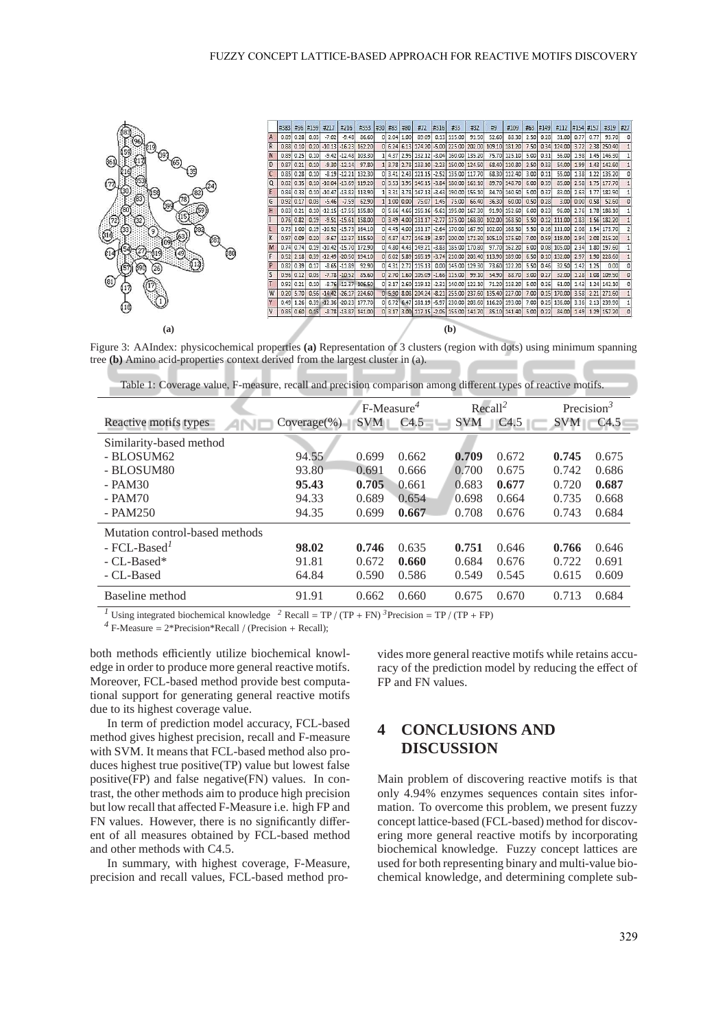

Figure 3: AAIndex: physicochemical properties **(a)** Representation of 3 clusters (region with dots) using minimum spanning tree **(b)** Amino acid-properties context derived from the largest cluster in (a).

| Table 1: Coverage value, F-measure, recall and precision comparison among different types of reactive motifs. |  |  |
|---------------------------------------------------------------------------------------------------------------|--|--|
|                                                                                                               |  |  |
|                                                                                                               |  |  |

|                                |                | $F-Measure4$ |                  |            | Recall <sup>2</sup> |              | Precision <sup>3</sup> |  |
|--------------------------------|----------------|--------------|------------------|------------|---------------------|--------------|------------------------|--|
| Reactive motifs types          | $Coverage(\%)$ | <b>SVM</b>   | C <sub>4.5</sub> | <b>SVM</b> | C <sub>4.5</sub>    | $SVM$ $C4.5$ |                        |  |
| Similarity-based method        |                |              |                  |            |                     |              |                        |  |
| - BLOSUM62                     | 94.55          | 0.699        | 0.662            | 0.709      | 0.672               | 0.745        | 0.675                  |  |
| - BLOSUM80                     | 93.80          | 0.691        | 0.666            | 0.700      | 0.675               | 0.742        | 0.686                  |  |
| $-$ PAM30                      | 95.43          | 0.705        | 0.661            | 0.683      | 0.677               | 0.720        | 0.687                  |  |
| $-$ PAM70                      | 94.33          | 0.689        | 0.654            | 0.698      | 0.664               | 0.735        | 0.668                  |  |
| $-$ PAM250                     | 94.35          | 0.699        | 0.667            | 0.708      | 0.676               | 0.743        | 0.684                  |  |
| Mutation control-based methods |                |              |                  |            |                     |              |                        |  |
| $-$ FCI $-$ Based <sup>1</sup> | 98.02          | 0.746        | 0.635            | 0.751      | 0.646               | 0.766        | 0.646                  |  |
| $- CL$ -Based*                 | 91.81          | 0.672        | 0.660            | 0.684      | 0.676               | 0.722        | 0.691                  |  |
| - CL-Based                     | 64.84          | 0.590        | 0.586            | 0.549      | 0.545               | 0.615        | 0.609                  |  |
| Baseline method                | 91.91          | 0.662        | 0.660            | 0.675      | 0.670               | 0.713        | 0.684                  |  |

<sup>1</sup> Using integrated biochemical knowledge <sup>2</sup> Recall = TP / (TP + FN)<sup>3</sup>Precision = TP / (TP + FP)

 $^{4}$  F-Measure =  $2*$ Precision\*Recall / (Precision + Recall);

both methods efficiently utilize biochemical knowledge in order to produce more general reactive motifs. Moreover, FCL-based method provide best computational support for generating general reactive motifs due to its highest coverage value.

In term of prediction model accuracy, FCL-based method gives highest precision, recall and F-measure with SVM. It means that FCL-based method also produces highest true positive(TP) value but lowest false positive(FP) and false negative(FN) values. In contrast, the other methods aim to produce high precision but low recall that affected F-Measure i.e. high FP and FN values. However, there is no significantly different of all measures obtained by FCL-based method and other methods with C4.5.

In summary, with highest coverage, F-Measure, precision and recall values, FCL-based method provides more general reactive motifs while retains accuracy of the prediction model by reducing the effect of FP and FN values.

## **4 CONCLUSIONS AND DISCUSSION**

Main problem of discovering reactive motifs is that only 4.94% enzymes sequences contain sites information. To overcome this problem, we present fuzzy concept lattice-based (FCL-based) method for discovering more general reactive motifs by incorporating biochemical knowledge. Fuzzy concept lattices are used for both representing binary and multi-value biochemical knowledge, and determining complete sub